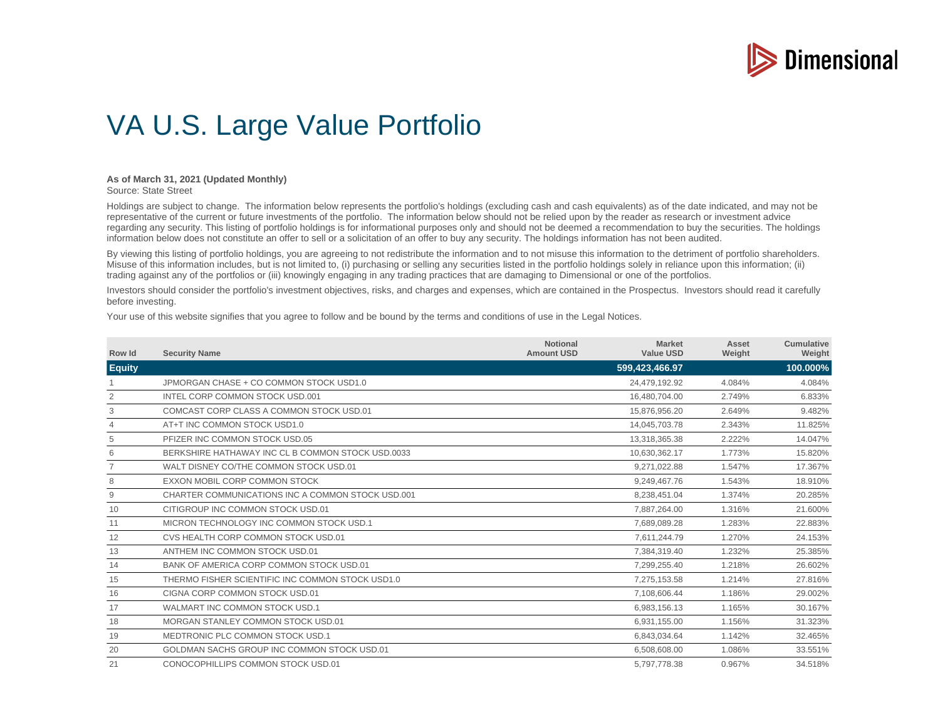

## VA U.S. Large Value Portfolio

## **As of March 31, 2021 (Updated Monthly)**

Source: State Street

Holdings are subject to change. The information below represents the portfolio's holdings (excluding cash and cash equivalents) as of the date indicated, and may not be representative of the current or future investments of the portfolio. The information below should not be relied upon by the reader as research or investment advice regarding any security. This listing of portfolio holdings is for informational purposes only and should not be deemed a recommendation to buy the securities. The holdings information below does not constitute an offer to sell or a solicitation of an offer to buy any security. The holdings information has not been audited.

By viewing this listing of portfolio holdings, you are agreeing to not redistribute the information and to not misuse this information to the detriment of portfolio shareholders. Misuse of this information includes, but is not limited to, (i) purchasing or selling any securities listed in the portfolio holdings solely in reliance upon this information; (ii) trading against any of the portfolios or (iii) knowingly engaging in any trading practices that are damaging to Dimensional or one of the portfolios.

Investors should consider the portfolio's investment objectives, risks, and charges and expenses, which are contained in the Prospectus. Investors should read it carefully before investing.

Your use of this website signifies that you agree to follow and be bound by the terms and conditions of use in the Legal Notices.

| Row Id         | <b>Security Name</b>                              | <b>Notional</b><br><b>Amount USD</b> | <b>Market</b><br><b>Value USD</b> | Asset<br>Weight | <b>Cumulative</b><br>Weight |
|----------------|---------------------------------------------------|--------------------------------------|-----------------------------------|-----------------|-----------------------------|
| <b>Equity</b>  |                                                   |                                      | 599,423,466.97                    |                 | 100.000%                    |
|                | JPMORGAN CHASE + CO COMMON STOCK USD1.0           |                                      | 24,479,192.92                     | 4.084%          | 4.084%                      |
| 2              | INTEL CORP COMMON STOCK USD.001                   |                                      | 16.480.704.00                     | 2.749%          | 6.833%                      |
| 3              | COMCAST CORP CLASS A COMMON STOCK USD.01          |                                      | 15,876,956.20                     | 2.649%          | 9.482%                      |
| $\overline{4}$ | AT+T INC COMMON STOCK USD1.0                      |                                      | 14,045,703.78                     | 2.343%          | 11.825%                     |
| 5              | PFIZER INC COMMON STOCK USD.05                    |                                      | 13,318,365.38                     | 2.222%          | 14.047%                     |
| 6              | BERKSHIRE HATHAWAY INC CL B COMMON STOCK USD.0033 |                                      | 10,630,362.17                     | 1.773%          | 15.820%                     |
|                | WALT DISNEY CO/THE COMMON STOCK USD.01            |                                      | 9,271,022.88                      | 1.547%          | 17.367%                     |
| 8              | EXXON MOBIL CORP COMMON STOCK                     |                                      | 9,249,467.76                      | 1.543%          | 18.910%                     |
| 9              | CHARTER COMMUNICATIONS INC A COMMON STOCK USD 001 |                                      | 8,238,451.04                      | 1.374%          | 20.285%                     |
| 10             | CITIGROUP INC COMMON STOCK USD.01                 |                                      | 7,887,264.00                      | 1.316%          | 21.600%                     |
| 11             | MICRON TECHNOLOGY INC COMMON STOCK USD.1          |                                      | 7,689,089.28                      | 1.283%          | 22.883%                     |
| 12             | CVS HEALTH CORP COMMON STOCK USD.01               |                                      | 7,611,244.79                      | 1.270%          | 24.153%                     |
| 13             | ANTHEM INC COMMON STOCK USD.01                    |                                      | 7.384.319.40                      | 1.232%          | 25.385%                     |
| 14             | BANK OF AMERICA CORP COMMON STOCK USD.01          |                                      | 7,299,255.40                      | 1.218%          | 26.602%                     |
| 15             | THERMO FISHER SCIENTIFIC INC COMMON STOCK USD1.0  |                                      | 7,275,153.58                      | 1.214%          | 27.816%                     |
| 16             | CIGNA CORP COMMON STOCK USD.01                    |                                      | 7,108,606.44                      | 1.186%          | 29.002%                     |
| 17             | WALMART INC COMMON STOCK USD.1                    |                                      | 6,983,156.13                      | 1.165%          | 30.167%                     |
| 18             | MORGAN STANLEY COMMON STOCK USD.01                |                                      | 6,931,155.00                      | 1.156%          | 31.323%                     |
| 19             | MEDTRONIC PLC COMMON STOCK USD.1                  |                                      | 6,843,034.64                      | 1.142%          | 32.465%                     |
| 20             | GOLDMAN SACHS GROUP INC COMMON STOCK USD.01       |                                      | 6,508,608.00                      | 1.086%          | 33.551%                     |
| 21             | CONOCOPHILLIPS COMMON STOCK USD.01                |                                      | 5,797,778.38                      | 0.967%          | 34.518%                     |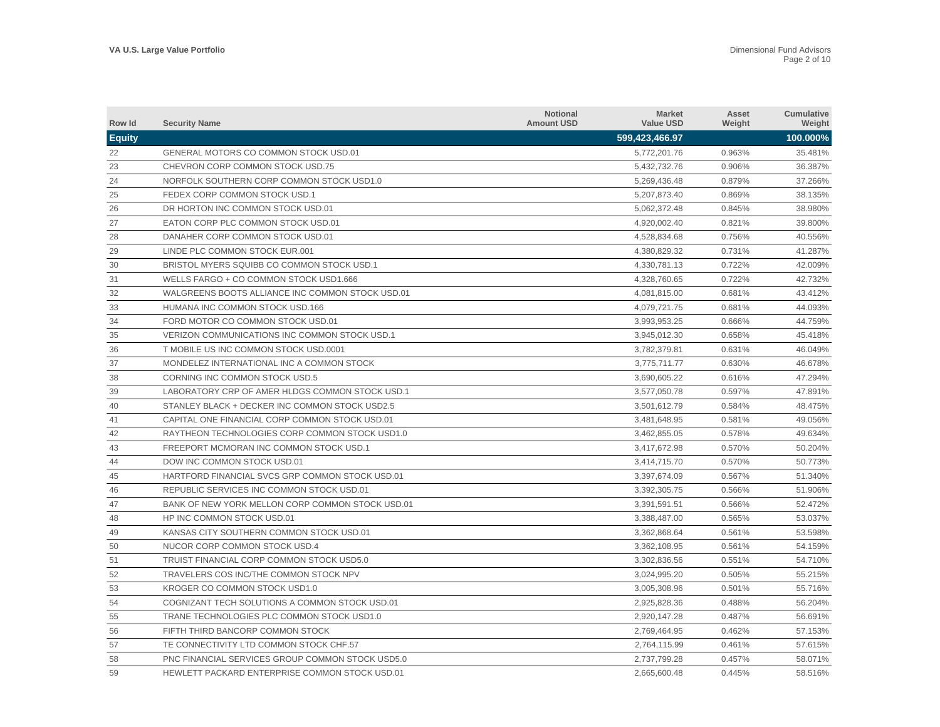| Row Id        | <b>Security Name</b>                             | <b>Notional</b><br><b>Amount USD</b> | <b>Market</b><br><b>Value USD</b> | Asset<br>Weight | Cumulative<br>Weight |
|---------------|--------------------------------------------------|--------------------------------------|-----------------------------------|-----------------|----------------------|
| <b>Equity</b> |                                                  |                                      | 599,423,466.97                    |                 | 100.000%             |
| 22            | GENERAL MOTORS CO COMMON STOCK USD.01            |                                      | 5,772,201.76                      | 0.963%          | 35.481%              |
| 23            | CHEVRON CORP COMMON STOCK USD.75                 |                                      | 5,432,732.76                      | 0.906%          | 36.387%              |
| 24            | NORFOLK SOUTHERN CORP COMMON STOCK USD1.0        |                                      | 5,269,436.48                      | 0.879%          | 37.266%              |
| 25            | FEDEX CORP COMMON STOCK USD.1                    |                                      | 5,207,873.40                      | 0.869%          | 38.135%              |
| 26            | DR HORTON INC COMMON STOCK USD.01                |                                      | 5,062,372.48                      | 0.845%          | 38.980%              |
| 27            | EATON CORP PLC COMMON STOCK USD.01               |                                      | 4,920,002.40                      | 0.821%          | 39.800%              |
| 28            | DANAHER CORP COMMON STOCK USD.01                 |                                      | 4,528,834.68                      | 0.756%          | 40.556%              |
| 29            | LINDE PLC COMMON STOCK EUR.001                   |                                      | 4,380,829.32                      | 0.731%          | 41.287%              |
| 30            | BRISTOL MYERS SQUIBB CO COMMON STOCK USD.1       |                                      | 4,330,781.13                      | 0.722%          | 42.009%              |
| 31            | WELLS FARGO + CO COMMON STOCK USD1.666           |                                      | 4,328,760.65                      | 0.722%          | 42.732%              |
| 32            | WALGREENS BOOTS ALLIANCE INC COMMON STOCK USD.01 |                                      | 4,081,815.00                      | 0.681%          | 43.412%              |
| 33            | HUMANA INC COMMON STOCK USD.166                  |                                      | 4,079,721.75                      | 0.681%          | 44.093%              |
| 34            | FORD MOTOR CO COMMON STOCK USD.01                |                                      | 3,993,953.25                      | 0.666%          | 44.759%              |
| 35            | VERIZON COMMUNICATIONS INC COMMON STOCK USD.1    |                                      | 3,945,012.30                      | 0.658%          | 45.418%              |
| 36            | T MOBILE US INC COMMON STOCK USD.0001            |                                      | 3,782,379.81                      | 0.631%          | 46.049%              |
| 37            | MONDELEZ INTERNATIONAL INC A COMMON STOCK        |                                      | 3,775,711.77                      | 0.630%          | 46.678%              |
| 38            | CORNING INC COMMON STOCK USD.5                   |                                      | 3,690,605.22                      | 0.616%          | 47.294%              |
| 39            | LABORATORY CRP OF AMER HLDGS COMMON STOCK USD.1  |                                      | 3,577,050.78                      | 0.597%          | 47.891%              |
| 40            | STANLEY BLACK + DECKER INC COMMON STOCK USD2.5   |                                      | 3,501,612.79                      | 0.584%          | 48.475%              |
| 41            | CAPITAL ONE FINANCIAL CORP COMMON STOCK USD.01   |                                      | 3,481,648.95                      | 0.581%          | 49.056%              |
| 42            | RAYTHEON TECHNOLOGIES CORP COMMON STOCK USD1.0   |                                      | 3,462,855.05                      | 0.578%          | 49.634%              |
| 43            | FREEPORT MCMORAN INC COMMON STOCK USD.1          |                                      | 3,417,672.98                      | 0.570%          | 50.204%              |
| 44            | DOW INC COMMON STOCK USD.01                      |                                      | 3,414,715.70                      | 0.570%          | 50.773%              |
| 45            | HARTFORD FINANCIAL SVCS GRP COMMON STOCK USD.01  |                                      | 3,397,674.09                      | 0.567%          | 51.340%              |
| 46            | REPUBLIC SERVICES INC COMMON STOCK USD.01        |                                      | 3,392,305.75                      | 0.566%          | 51.906%              |
| 47            | BANK OF NEW YORK MELLON CORP COMMON STOCK USD.01 |                                      | 3,391,591.51                      | 0.566%          | 52.472%              |
| 48            | HP INC COMMON STOCK USD.01                       |                                      | 3,388,487.00                      | 0.565%          | 53.037%              |
| 49            | KANSAS CITY SOUTHERN COMMON STOCK USD.01         |                                      | 3,362,868.64                      | 0.561%          | 53.598%              |
| 50            | NUCOR CORP COMMON STOCK USD.4                    |                                      | 3,362,108.95                      | 0.561%          | 54.159%              |
| 51            | TRUIST FINANCIAL CORP COMMON STOCK USD5.0        |                                      | 3,302,836.56                      | 0.551%          | 54.710%              |
| 52            | TRAVELERS COS INC/THE COMMON STOCK NPV           |                                      | 3,024,995.20                      | 0.505%          | 55.215%              |
| 53            | KROGER CO COMMON STOCK USD1.0                    |                                      | 3,005,308.96                      | 0.501%          | 55.716%              |
| 54            | COGNIZANT TECH SOLUTIONS A COMMON STOCK USD.01   |                                      | 2,925,828.36                      | 0.488%          | 56.204%              |
| 55            | TRANE TECHNOLOGIES PLC COMMON STOCK USD1.0       |                                      | 2,920,147.28                      | 0.487%          | 56.691%              |
| 56            | FIFTH THIRD BANCORP COMMON STOCK                 |                                      | 2,769,464.95                      | 0.462%          | 57.153%              |
| 57            | TE CONNECTIVITY LTD COMMON STOCK CHF.57          |                                      | 2,764,115.99                      | 0.461%          | 57.615%              |
| 58            | PNC FINANCIAL SERVICES GROUP COMMON STOCK USD5.0 |                                      | 2.737.799.28                      | 0.457%          | 58.071%              |
| 59            | HEWLETT PACKARD ENTERPRISE COMMON STOCK USD.01   |                                      | 2.665.600.48                      | 0.445%          | 58.516%              |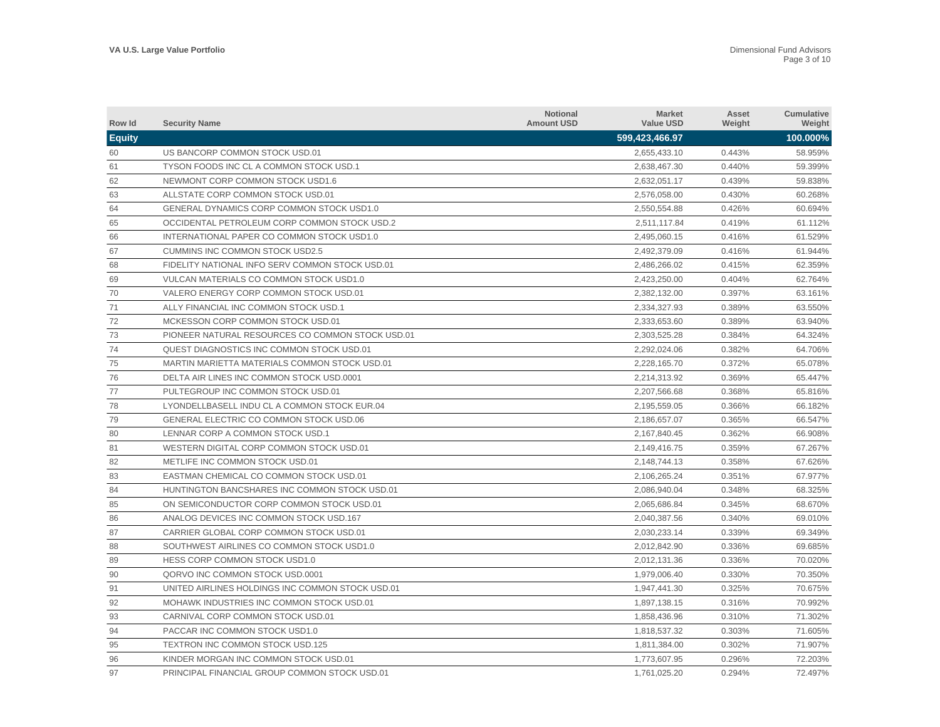| Row Id        | <b>Security Name</b>                             | <b>Notional</b><br><b>Amount USD</b> | <b>Market</b><br><b>Value USD</b> | Asset<br>Weight | Cumulative<br>Weight |
|---------------|--------------------------------------------------|--------------------------------------|-----------------------------------|-----------------|----------------------|
| <b>Equity</b> |                                                  |                                      | 599,423,466.97                    |                 | 100.000%             |
| 60            | US BANCORP COMMON STOCK USD.01                   |                                      | 2,655,433.10                      | 0.443%          | 58.959%              |
| 61            | TYSON FOODS INC CL A COMMON STOCK USD.1          |                                      | 2,638,467.30                      | 0.440%          | 59.399%              |
| 62            | NEWMONT CORP COMMON STOCK USD1.6                 |                                      | 2,632,051.17                      | 0.439%          | 59.838%              |
| 63            | ALLSTATE CORP COMMON STOCK USD.01                |                                      | 2,576,058.00                      | 0.430%          | 60.268%              |
| 64            | GENERAL DYNAMICS CORP COMMON STOCK USD1.0        |                                      | 2,550,554.88                      | 0.426%          | 60.694%              |
| 65            | OCCIDENTAL PETROLEUM CORP COMMON STOCK USD.2     |                                      | 2,511,117.84                      | 0.419%          | 61.112%              |
| 66            | INTERNATIONAL PAPER CO COMMON STOCK USD1.0       |                                      | 2,495,060.15                      | 0.416%          | 61.529%              |
| 67            | <b>CUMMINS INC COMMON STOCK USD2.5</b>           |                                      | 2.492.379.09                      | 0.416%          | 61.944%              |
| 68            | FIDELITY NATIONAL INFO SERV COMMON STOCK USD.01  |                                      | 2,486,266.02                      | 0.415%          | 62.359%              |
| 69            | VULCAN MATERIALS CO COMMON STOCK USD1.0          |                                      | 2.423.250.00                      | 0.404%          | 62.764%              |
| 70            | VALERO ENERGY CORP COMMON STOCK USD.01           |                                      | 2,382,132.00                      | 0.397%          | 63.161%              |
| 71            | ALLY FINANCIAL INC COMMON STOCK USD.1            |                                      | 2,334,327.93                      | 0.389%          | 63.550%              |
| 72            | MCKESSON CORP COMMON STOCK USD.01                |                                      | 2,333,653.60                      | 0.389%          | 63.940%              |
| 73            | PIONEER NATURAL RESOURCES CO COMMON STOCK USD.01 |                                      | 2,303,525.28                      | 0.384%          | 64.324%              |
| 74            | QUEST DIAGNOSTICS INC COMMON STOCK USD.01        |                                      | 2,292,024.06                      | 0.382%          | 64.706%              |
| 75            | MARTIN MARIETTA MATERIALS COMMON STOCK USD.01    |                                      | 2,228,165.70                      | 0.372%          | 65.078%              |
| 76            | DELTA AIR LINES INC COMMON STOCK USD.0001        |                                      | 2,214,313.92                      | 0.369%          | 65.447%              |
| 77            | PULTEGROUP INC COMMON STOCK USD.01               |                                      | 2,207,566.68                      | 0.368%          | 65.816%              |
| 78            | LYONDELLBASELL INDU CL A COMMON STOCK EUR.04     |                                      | 2,195,559.05                      | 0.366%          | 66.182%              |
| 79            | <b>GENERAL ELECTRIC CO COMMON STOCK USD.06</b>   |                                      | 2,186,657.07                      | 0.365%          | 66.547%              |
| 80            | LENNAR CORP A COMMON STOCK USD.1                 |                                      | 2,167,840.45                      | 0.362%          | 66.908%              |
| 81            | WESTERN DIGITAL CORP COMMON STOCK USD.01         |                                      | 2,149,416.75                      | 0.359%          | 67.267%              |
| 82            | METLIFE INC COMMON STOCK USD.01                  |                                      | 2.148.744.13                      | 0.358%          | 67.626%              |
| 83            | EASTMAN CHEMICAL CO COMMON STOCK USD.01          |                                      | 2,106,265.24                      | 0.351%          | 67.977%              |
| 84            | HUNTINGTON BANCSHARES INC COMMON STOCK USD.01    |                                      | 2,086,940.04                      | 0.348%          | 68.325%              |
| 85            | ON SEMICONDUCTOR CORP COMMON STOCK USD.01        |                                      | 2,065,686.84                      | 0.345%          | 68.670%              |
| 86            | ANALOG DEVICES INC COMMON STOCK USD.167          |                                      | 2,040,387.56                      | 0.340%          | 69.010%              |
| 87            | CARRIER GLOBAL CORP COMMON STOCK USD.01          |                                      | 2,030,233.14                      | 0.339%          | 69.349%              |
| 88            | SOUTHWEST AIRLINES CO COMMON STOCK USD1.0        |                                      | 2,012,842.90                      | 0.336%          | 69.685%              |
| 89            | HESS CORP COMMON STOCK USD1.0                    |                                      | 2,012,131.36                      | 0.336%          | 70.020%              |
| 90            | QORVO INC COMMON STOCK USD.0001                  |                                      | 1,979,006.40                      | 0.330%          | 70.350%              |
| 91            | UNITED AIRLINES HOLDINGS INC COMMON STOCK USD.01 |                                      | 1,947,441.30                      | 0.325%          | 70.675%              |
| 92            | MOHAWK INDUSTRIES INC COMMON STOCK USD.01        |                                      | 1,897,138.15                      | 0.316%          | 70.992%              |
| 93            | CARNIVAL CORP COMMON STOCK USD.01                |                                      | 1,858,436.96                      | 0.310%          | 71.302%              |
| 94            | PACCAR INC COMMON STOCK USD1.0                   |                                      | 1,818,537.32                      | 0.303%          | 71.605%              |
| 95            | <b>TEXTRON INC COMMON STOCK USD.125</b>          |                                      | 1,811,384.00                      | 0.302%          | 71.907%              |
| 96            | KINDER MORGAN INC COMMON STOCK USD.01            |                                      | 1.773.607.95                      | 0.296%          | 72.203%              |
| 97            | PRINCIPAL FINANCIAL GROUP COMMON STOCK USD.01    |                                      | 1,761,025.20                      | 0.294%          | 72.497%              |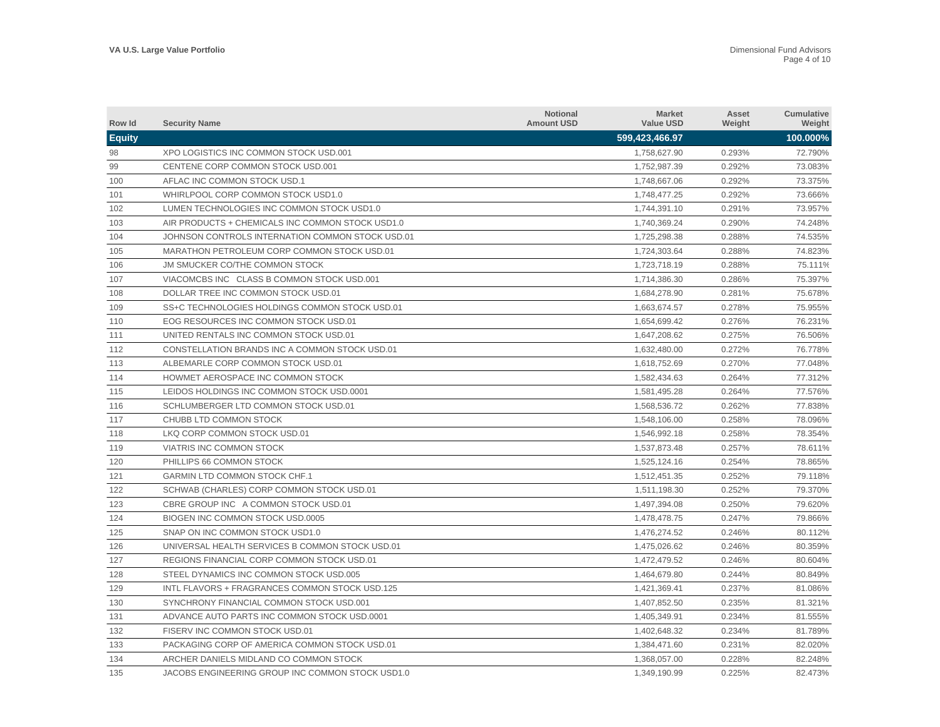| Row Id        | <b>Security Name</b>                             | <b>Notional</b><br><b>Amount USD</b> | <b>Market</b><br><b>Value USD</b> | Asset<br>Weight | <b>Cumulative</b><br>Weight |
|---------------|--------------------------------------------------|--------------------------------------|-----------------------------------|-----------------|-----------------------------|
| <b>Equity</b> |                                                  |                                      | 599,423,466.97                    |                 | 100.000%                    |
| 98            | XPO LOGISTICS INC COMMON STOCK USD.001           |                                      | 1,758,627.90                      | 0.293%          | 72.790%                     |
| 99            | CENTENE CORP COMMON STOCK USD.001                |                                      | 1,752,987.39                      | 0.292%          | 73.083%                     |
| 100           | AFLAC INC COMMON STOCK USD.1                     |                                      | 1,748,667.06                      | 0.292%          | 73.375%                     |
| 101           | WHIRLPOOL CORP COMMON STOCK USD1.0               |                                      | 1,748,477.25                      | 0.292%          | 73.666%                     |
| 102           | LUMEN TECHNOLOGIES INC COMMON STOCK USD1.0       |                                      | 1,744,391.10                      | 0.291%          | 73.957%                     |
| 103           | AIR PRODUCTS + CHEMICALS INC COMMON STOCK USD1.0 |                                      | 1,740,369.24                      | 0.290%          | 74.248%                     |
| 104           | JOHNSON CONTROLS INTERNATION COMMON STOCK USD.01 |                                      | 1,725,298.38                      | 0.288%          | 74.535%                     |
| 105           | MARATHON PETROLEUM CORP COMMON STOCK USD.01      |                                      | 1,724,303.64                      | 0.288%          | 74.823%                     |
| 106           | JM SMUCKER CO/THE COMMON STOCK                   |                                      | 1,723,718.19                      | 0.288%          | 75.111%                     |
| 107           | VIACOMCBS INC CLASS B COMMON STOCK USD.001       |                                      | 1,714,386.30                      | 0.286%          | 75.397%                     |
| 108           | DOLLAR TREE INC COMMON STOCK USD.01              |                                      | 1,684,278.90                      | 0.281%          | 75.678%                     |
| 109           | SS+C TECHNOLOGIES HOLDINGS COMMON STOCK USD.01   |                                      | 1,663,674.57                      | 0.278%          | 75.955%                     |
| 110           | EOG RESOURCES INC COMMON STOCK USD.01            |                                      | 1,654,699.42                      | 0.276%          | 76.231%                     |
| 111           | UNITED RENTALS INC COMMON STOCK USD.01           |                                      | 1,647,208.62                      | 0.275%          | 76.506%                     |
| 112           | CONSTELLATION BRANDS INC A COMMON STOCK USD.01   |                                      | 1,632,480.00                      | 0.272%          | 76.778%                     |
| 113           | ALBEMARLE CORP COMMON STOCK USD.01               |                                      | 1,618,752.69                      | 0.270%          | 77.048%                     |
| 114           | HOWMET AEROSPACE INC COMMON STOCK                |                                      | 1,582,434.63                      | 0.264%          | 77.312%                     |
| 115           | LEIDOS HOLDINGS INC COMMON STOCK USD.0001        |                                      | 1,581,495.28                      | 0.264%          | 77.576%                     |
| 116           | SCHLUMBERGER LTD COMMON STOCK USD.01             |                                      | 1,568,536.72                      | 0.262%          | 77.838%                     |
| 117           | CHUBB LTD COMMON STOCK                           |                                      | 1,548,106.00                      | 0.258%          | 78.096%                     |
| 118           | LKQ CORP COMMON STOCK USD.01                     |                                      | 1,546,992.18                      | 0.258%          | 78.354%                     |
| 119           | VIATRIS INC COMMON STOCK                         |                                      | 1,537,873.48                      | 0.257%          | 78.611%                     |
| 120           | PHILLIPS 66 COMMON STOCK                         |                                      | 1,525,124.16                      | 0.254%          | 78.865%                     |
| 121           | <b>GARMIN LTD COMMON STOCK CHF.1</b>             |                                      | 1,512,451.35                      | 0.252%          | 79.118%                     |
| 122           | SCHWAB (CHARLES) CORP COMMON STOCK USD.01        |                                      | 1,511,198.30                      | 0.252%          | 79.370%                     |
| 123           | CBRE GROUP INC A COMMON STOCK USD.01             |                                      | 1,497,394.08                      | 0.250%          | 79.620%                     |
| 124           | BIOGEN INC COMMON STOCK USD.0005                 |                                      | 1,478,478.75                      | 0.247%          | 79.866%                     |
| 125           | SNAP ON INC COMMON STOCK USD1.0                  |                                      | 1,476,274.52                      | 0.246%          | 80.112%                     |
| 126           | UNIVERSAL HEALTH SERVICES B COMMON STOCK USD.01  |                                      | 1,475,026.62                      | 0.246%          | 80.359%                     |
| 127           | REGIONS FINANCIAL CORP COMMON STOCK USD.01       |                                      | 1,472,479.52                      | 0.246%          | 80.604%                     |
| 128           | STEEL DYNAMICS INC COMMON STOCK USD.005          |                                      | 1,464,679.80                      | 0.244%          | 80.849%                     |
| 129           | INTL FLAVORS + FRAGRANCES COMMON STOCK USD.125   |                                      | 1,421,369.41                      | 0.237%          | 81.086%                     |
| 130           | SYNCHRONY FINANCIAL COMMON STOCK USD.001         |                                      | 1,407,852.50                      | 0.235%          | 81.321%                     |
| 131           | ADVANCE AUTO PARTS INC COMMON STOCK USD.0001     |                                      | 1,405,349.91                      | 0.234%          | 81.555%                     |
| 132           | FISERV INC COMMON STOCK USD.01                   |                                      | 1,402,648.32                      | 0.234%          | 81.789%                     |
| 133           | PACKAGING CORP OF AMERICA COMMON STOCK USD.01    |                                      | 1,384,471.60                      | 0.231%          | 82.020%                     |
| 134           | ARCHER DANIELS MIDLAND CO COMMON STOCK           |                                      | 1.368.057.00                      | 0.228%          | 82.248%                     |
| 135           | JACOBS ENGINEERING GROUP INC COMMON STOCK USD1.0 |                                      | 1,349,190.99                      | 0.225%          | 82.473%                     |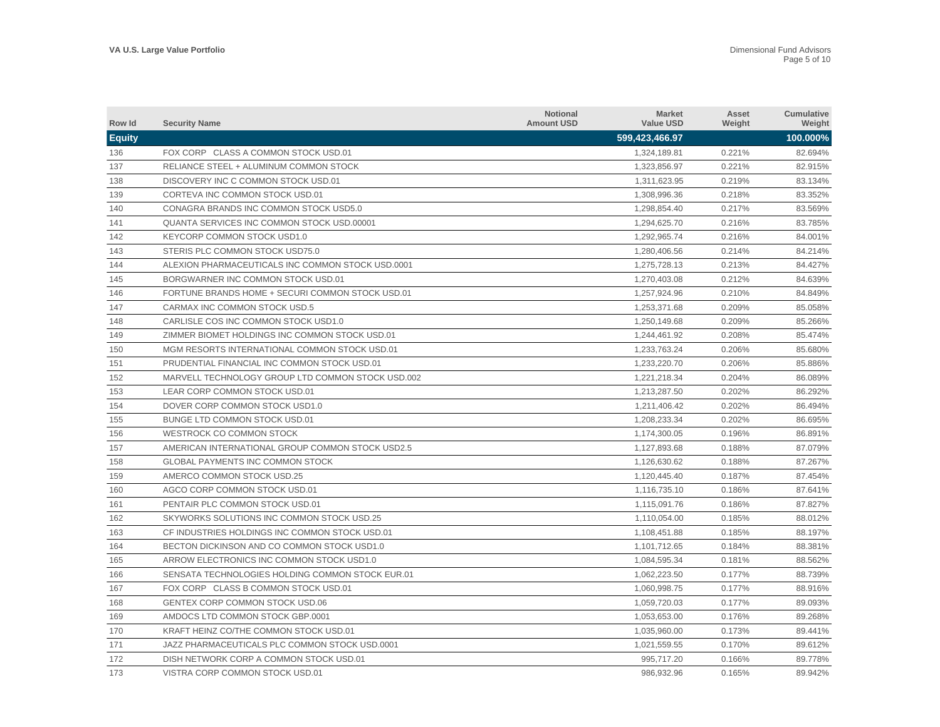| Row Id        | <b>Security Name</b>                              | <b>Notional</b><br><b>Amount USD</b> | <b>Market</b><br><b>Value USD</b> | Asset<br>Weight | <b>Cumulative</b><br>Weight |
|---------------|---------------------------------------------------|--------------------------------------|-----------------------------------|-----------------|-----------------------------|
| <b>Equity</b> |                                                   |                                      | 599,423,466.97                    |                 | 100.000%                    |
| 136           | FOX CORP CLASS A COMMON STOCK USD.01              |                                      | 1,324,189.81                      | 0.221%          | 82.694%                     |
| 137           | RELIANCE STEEL + ALUMINUM COMMON STOCK            |                                      | 1,323,856.97                      | 0.221%          | 82.915%                     |
| 138           | DISCOVERY INC C COMMON STOCK USD.01               |                                      | 1,311,623.95                      | 0.219%          | 83.134%                     |
| 139           | CORTEVA INC COMMON STOCK USD.01                   |                                      | 1,308,996.36                      | 0.218%          | 83.352%                     |
| 140           | CONAGRA BRANDS INC COMMON STOCK USD5.0            |                                      | 1,298,854.40                      | 0.217%          | 83.569%                     |
| 141           | QUANTA SERVICES INC COMMON STOCK USD.00001        |                                      | 1,294,625.70                      | 0.216%          | 83.785%                     |
| 142           | KEYCORP COMMON STOCK USD1.0                       |                                      | 1,292,965.74                      | 0.216%          | 84.001%                     |
| 143           | STERIS PLC COMMON STOCK USD75.0                   |                                      | 1.280.406.56                      | 0.214%          | 84.214%                     |
| 144           | ALEXION PHARMACEUTICALS INC COMMON STOCK USD.0001 |                                      | 1,275,728.13                      | 0.213%          | 84.427%                     |
| 145           | BORGWARNER INC COMMON STOCK USD.01                |                                      | 1,270,403.08                      | 0.212%          | 84.639%                     |
| 146           | FORTUNE BRANDS HOME + SECURI COMMON STOCK USD.01  |                                      | 1,257,924.96                      | 0.210%          | 84.849%                     |
| 147           | CARMAX INC COMMON STOCK USD.5                     |                                      | 1,253,371.68                      | 0.209%          | 85.058%                     |
| 148           | CARLISLE COS INC COMMON STOCK USD1.0              |                                      | 1,250,149.68                      | 0.209%          | 85.266%                     |
| 149           | ZIMMER BIOMET HOLDINGS INC COMMON STOCK USD.01    |                                      | 1,244,461.92                      | 0.208%          | 85.474%                     |
| 150           | MGM RESORTS INTERNATIONAL COMMON STOCK USD.01     |                                      | 1,233,763.24                      | 0.206%          | 85.680%                     |
| 151           | PRUDENTIAL FINANCIAL INC COMMON STOCK USD.01      |                                      | 1,233,220.70                      | 0.206%          | 85.886%                     |
| 152           | MARVELL TECHNOLOGY GROUP LTD COMMON STOCK USD.002 |                                      | 1.221.218.34                      | 0.204%          | 86.089%                     |
| 153           | LEAR CORP COMMON STOCK USD.01                     |                                      | 1,213,287.50                      | 0.202%          | 86.292%                     |
| 154           | DOVER CORP COMMON STOCK USD1.0                    |                                      | 1,211,406.42                      | 0.202%          | 86.494%                     |
| 155           | <b>BUNGE LTD COMMON STOCK USD.01</b>              |                                      | 1,208,233.34                      | 0.202%          | 86.695%                     |
| 156           | WESTROCK CO COMMON STOCK                          |                                      | 1,174,300.05                      | 0.196%          | 86.891%                     |
| 157           | AMERICAN INTERNATIONAL GROUP COMMON STOCK USD2.5  |                                      | 1,127,893.68                      | 0.188%          | 87.079%                     |
| 158           | <b>GLOBAL PAYMENTS INC COMMON STOCK</b>           |                                      | 1,126,630.62                      | 0.188%          | 87.267%                     |
| 159           | AMERCO COMMON STOCK USD.25                        |                                      | 1,120,445.40                      | 0.187%          | 87.454%                     |
| 160           | AGCO CORP COMMON STOCK USD.01                     |                                      | 1,116,735.10                      | 0.186%          | 87.641%                     |
| 161           | PENTAIR PLC COMMON STOCK USD.01                   |                                      | 1,115,091.76                      | 0.186%          | 87.827%                     |
| 162           | SKYWORKS SOLUTIONS INC COMMON STOCK USD.25        |                                      | 1,110,054.00                      | 0.185%          | 88.012%                     |
| 163           | CF INDUSTRIES HOLDINGS INC COMMON STOCK USD.01    |                                      | 1,108,451.88                      | 0.185%          | 88.197%                     |
| 164           | BECTON DICKINSON AND CO COMMON STOCK USD1.0       |                                      | 1,101,712.65                      | 0.184%          | 88.381%                     |
| 165           | ARROW ELECTRONICS INC COMMON STOCK USD1.0         |                                      | 1,084,595.34                      | 0.181%          | 88.562%                     |
| 166           | SENSATA TECHNOLOGIES HOLDING COMMON STOCK EUR.01  |                                      | 1,062,223.50                      | 0.177%          | 88.739%                     |
| 167           | FOX CORP CLASS B COMMON STOCK USD.01              |                                      | 1,060,998.75                      | 0.177%          | 88.916%                     |
| 168           | GENTEX CORP COMMON STOCK USD.06                   |                                      | 1,059,720.03                      | 0.177%          | 89.093%                     |
| 169           | AMDOCS LTD COMMON STOCK GBP.0001                  |                                      | 1,053,653.00                      | 0.176%          | 89.268%                     |
| 170           | KRAFT HEINZ CO/THE COMMON STOCK USD.01            |                                      | 1,035,960.00                      | 0.173%          | 89.441%                     |
| 171           | JAZZ PHARMACEUTICALS PLC COMMON STOCK USD.0001    |                                      | 1,021,559.55                      | 0.170%          | 89.612%                     |
| 172           | DISH NETWORK CORP A COMMON STOCK USD.01           |                                      | 995.717.20                        | 0.166%          | 89.778%                     |
| 173           | VISTRA CORP COMMON STOCK USD.01                   |                                      | 986,932.96                        | 0.165%          | 89.942%                     |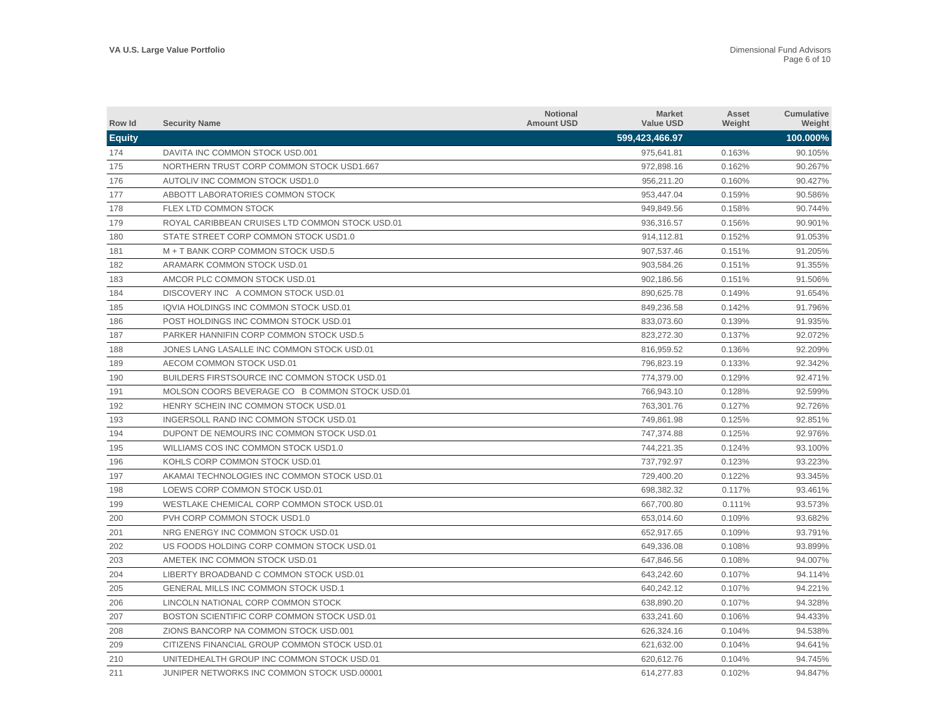| Row Id        | <b>Security Name</b>                            | <b>Notional</b><br><b>Amount USD</b> | <b>Market</b><br><b>Value USD</b> | Asset<br>Weight | Cumulative<br>Weight |
|---------------|-------------------------------------------------|--------------------------------------|-----------------------------------|-----------------|----------------------|
| <b>Equity</b> |                                                 |                                      | 599,423,466.97                    |                 | 100.000%             |
| 174           | DAVITA INC COMMON STOCK USD.001                 |                                      | 975,641.81                        | 0.163%          | 90.105%              |
| 175           | NORTHERN TRUST CORP COMMON STOCK USD1.667       |                                      | 972,898.16                        | 0.162%          | 90.267%              |
| 176           | AUTOLIV INC COMMON STOCK USD1.0                 |                                      | 956.211.20                        | 0.160%          | 90.427%              |
| 177           | ABBOTT LABORATORIES COMMON STOCK                |                                      | 953,447.04                        | 0.159%          | 90.586%              |
| 178           | <b>FLEX LTD COMMON STOCK</b>                    |                                      | 949,849.56                        | 0.158%          | 90.744%              |
| 179           | ROYAL CARIBBEAN CRUISES LTD COMMON STOCK USD.01 |                                      | 936,316.57                        | 0.156%          | 90.901%              |
| 180           | STATE STREET CORP COMMON STOCK USD1.0           |                                      | 914,112.81                        | 0.152%          | 91.053%              |
| 181           | M + T BANK CORP COMMON STOCK USD.5              |                                      | 907,537.46                        | 0.151%          | 91.205%              |
| 182           | ARAMARK COMMON STOCK USD.01                     |                                      | 903,584.26                        | 0.151%          | 91.355%              |
| 183           | AMCOR PLC COMMON STOCK USD.01                   |                                      | 902,186.56                        | 0.151%          | 91.506%              |
| 184           | DISCOVERY INC A COMMON STOCK USD.01             |                                      | 890,625.78                        | 0.149%          | 91.654%              |
| 185           | IQVIA HOLDINGS INC COMMON STOCK USD.01          |                                      | 849,236.58                        | 0.142%          | 91.796%              |
| 186           | POST HOLDINGS INC COMMON STOCK USD.01           |                                      | 833,073.60                        | 0.139%          | 91.935%              |
| 187           | PARKER HANNIFIN CORP COMMON STOCK USD.5         |                                      | 823,272.30                        | 0.137%          | 92.072%              |
| 188           | JONES LANG LASALLE INC COMMON STOCK USD.01      |                                      | 816,959.52                        | 0.136%          | 92.209%              |
| 189           | AECOM COMMON STOCK USD.01                       |                                      | 796,823.19                        | 0.133%          | 92.342%              |
| 190           | BUILDERS FIRSTSOURCE INC COMMON STOCK USD.01    |                                      | 774,379.00                        | 0.129%          | 92.471%              |
| 191           | MOLSON COORS BEVERAGE CO B COMMON STOCK USD.01  |                                      | 766,943.10                        | 0.128%          | 92.599%              |
| 192           | HENRY SCHEIN INC COMMON STOCK USD.01            |                                      | 763,301.76                        | 0.127%          | 92.726%              |
| 193           | INGERSOLL RAND INC COMMON STOCK USD.01          |                                      | 749,861.98                        | 0.125%          | 92.851%              |
| 194           | DUPONT DE NEMOURS INC COMMON STOCK USD.01       |                                      | 747,374.88                        | 0.125%          | 92.976%              |
| 195           | WILLIAMS COS INC COMMON STOCK USD1.0            |                                      | 744,221.35                        | 0.124%          | 93.100%              |
| 196           | KOHLS CORP COMMON STOCK USD.01                  |                                      | 737,792.97                        | 0.123%          | 93.223%              |
| 197           | AKAMAI TECHNOLOGIES INC COMMON STOCK USD.01     |                                      | 729,400.20                        | 0.122%          | 93.345%              |
| 198           | LOEWS CORP COMMON STOCK USD.01                  |                                      | 698,382.32                        | 0.117%          | 93.461%              |
| 199           | WESTLAKE CHEMICAL CORP COMMON STOCK USD.01      |                                      | 667,700.80                        | 0.111%          | 93.573%              |
| 200           | PVH CORP COMMON STOCK USD1.0                    |                                      | 653,014.60                        | 0.109%          | 93.682%              |
| 201           | NRG ENERGY INC COMMON STOCK USD.01              |                                      | 652.917.65                        | 0.109%          | 93.791%              |
| 202           | US FOODS HOLDING CORP COMMON STOCK USD.01       |                                      | 649,336.08                        | 0.108%          | 93.899%              |
| 203           | AMETEK INC COMMON STOCK USD.01                  |                                      | 647.846.56                        | 0.108%          | 94.007%              |
| 204           | LIBERTY BROADBAND C COMMON STOCK USD.01         |                                      | 643,242.60                        | 0.107%          | 94.114%              |
| 205           | <b>GENERAL MILLS INC COMMON STOCK USD.1</b>     |                                      | 640,242.12                        | 0.107%          | 94.221%              |
| 206           | LINCOLN NATIONAL CORP COMMON STOCK              |                                      | 638,890.20                        | 0.107%          | 94.328%              |
| 207           | BOSTON SCIENTIFIC CORP COMMON STOCK USD.01      |                                      | 633,241.60                        | 0.106%          | 94.433%              |
| 208           | ZIONS BANCORP NA COMMON STOCK USD.001           |                                      | 626,324.16                        | 0.104%          | 94.538%              |
| 209           | CITIZENS FINANCIAL GROUP COMMON STOCK USD.01    |                                      | 621,632.00                        | 0.104%          | 94.641%              |
| 210           | UNITEDHEALTH GROUP INC COMMON STOCK USD.01      |                                      | 620.612.76                        | 0.104%          | 94.745%              |
| 211           | JUNIPER NETWORKS INC COMMON STOCK USD.00001     |                                      | 614.277.83                        | 0.102%          | 94.847%              |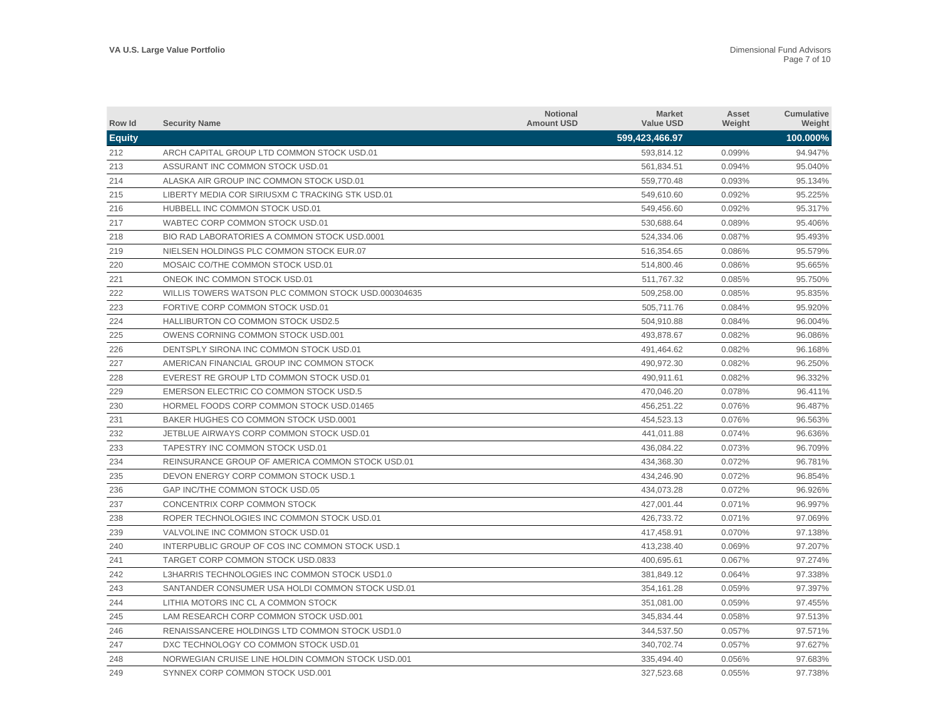| Row Id        | <b>Security Name</b>                                | <b>Notional</b><br><b>Amount USD</b> | <b>Market</b><br><b>Value USD</b> | Asset<br>Weight | <b>Cumulative</b><br>Weight |
|---------------|-----------------------------------------------------|--------------------------------------|-----------------------------------|-----------------|-----------------------------|
| <b>Equity</b> |                                                     |                                      | 599,423,466.97                    |                 | 100.000%                    |
| 212           | ARCH CAPITAL GROUP LTD COMMON STOCK USD.01          |                                      | 593,814.12                        | 0.099%          | 94.947%                     |
| 213           | ASSURANT INC COMMON STOCK USD.01                    |                                      | 561,834.51                        | 0.094%          | 95.040%                     |
| 214           | ALASKA AIR GROUP INC COMMON STOCK USD.01            |                                      | 559,770.48                        | 0.093%          | 95.134%                     |
| 215           | LIBERTY MEDIA COR SIRIUSXM C TRACKING STK USD.01    |                                      | 549,610.60                        | 0.092%          | 95.225%                     |
| 216           | HUBBELL INC COMMON STOCK USD.01                     |                                      | 549,456.60                        | 0.092%          | 95.317%                     |
| 217           | WABTEC CORP COMMON STOCK USD.01                     |                                      | 530,688.64                        | 0.089%          | 95.406%                     |
| 218           | BIO RAD LABORATORIES A COMMON STOCK USD.0001        |                                      | 524,334.06                        | 0.087%          | 95.493%                     |
| 219           | NIELSEN HOLDINGS PLC COMMON STOCK EUR.07            |                                      | 516,354.65                        | 0.086%          | 95.579%                     |
| 220           | MOSAIC CO/THE COMMON STOCK USD.01                   |                                      | 514,800.46                        | 0.086%          | 95.665%                     |
| 221           | ONEOK INC COMMON STOCK USD.01                       |                                      | 511.767.32                        | 0.085%          | 95.750%                     |
| 222           | WILLIS TOWERS WATSON PLC COMMON STOCK USD.000304635 |                                      | 509,258.00                        | 0.085%          | 95.835%                     |
| 223           | FORTIVE CORP COMMON STOCK USD.01                    |                                      | 505,711.76                        | 0.084%          | 95.920%                     |
| 224           | <b>HALLIBURTON CO COMMON STOCK USD2.5</b>           |                                      | 504,910.88                        | 0.084%          | 96.004%                     |
| 225           | OWENS CORNING COMMON STOCK USD.001                  |                                      | 493,878.67                        | 0.082%          | 96.086%                     |
| 226           | DENTSPLY SIRONA INC COMMON STOCK USD.01             |                                      | 491,464.62                        | 0.082%          | 96.168%                     |
| 227           | AMERICAN FINANCIAL GROUP INC COMMON STOCK           |                                      | 490,972.30                        | 0.082%          | 96.250%                     |
| 228           | EVEREST RE GROUP LTD COMMON STOCK USD.01            |                                      | 490.911.61                        | 0.082%          | 96.332%                     |
| 229           | EMERSON ELECTRIC CO COMMON STOCK USD.5              |                                      | 470,046.20                        | 0.078%          | 96.411%                     |
| 230           | HORMEL FOODS CORP COMMON STOCK USD.01465            |                                      | 456,251.22                        | 0.076%          | 96.487%                     |
| 231           | BAKER HUGHES CO COMMON STOCK USD.0001               |                                      | 454,523.13                        | 0.076%          | 96.563%                     |
| 232           | JETBLUE AIRWAYS CORP COMMON STOCK USD.01            |                                      | 441,011.88                        | 0.074%          | 96.636%                     |
| 233           | TAPESTRY INC COMMON STOCK USD.01                    |                                      | 436,084.22                        | 0.073%          | 96.709%                     |
| 234           | REINSURANCE GROUP OF AMERICA COMMON STOCK USD.01    |                                      | 434,368.30                        | 0.072%          | 96.781%                     |
| 235           | DEVON ENERGY CORP COMMON STOCK USD.1                |                                      | 434,246.90                        | 0.072%          | 96.854%                     |
| 236           | GAP INC/THE COMMON STOCK USD.05                     |                                      | 434,073.28                        | 0.072%          | 96.926%                     |
| 237           | CONCENTRIX CORP COMMON STOCK                        |                                      | 427,001.44                        | 0.071%          | 96.997%                     |
| 238           | ROPER TECHNOLOGIES INC COMMON STOCK USD.01          |                                      | 426,733.72                        | 0.071%          | 97.069%                     |
| 239           | VALVOLINE INC COMMON STOCK USD.01                   |                                      | 417,458.91                        | 0.070%          | 97.138%                     |
| 240           | INTERPUBLIC GROUP OF COS INC COMMON STOCK USD.1     |                                      | 413,238.40                        | 0.069%          | 97.207%                     |
| 241           | TARGET CORP COMMON STOCK USD.0833                   |                                      | 400,695.61                        | 0.067%          | 97.274%                     |
| 242           | L3HARRIS TECHNOLOGIES INC COMMON STOCK USD1.0       |                                      | 381,849.12                        | 0.064%          | 97.338%                     |
| 243           | SANTANDER CONSUMER USA HOLDI COMMON STOCK USD.01    |                                      | 354,161.28                        | 0.059%          | 97.397%                     |
| 244           | LITHIA MOTORS INC CL A COMMON STOCK                 |                                      | 351,081.00                        | 0.059%          | 97.455%                     |
| 245           | LAM RESEARCH CORP COMMON STOCK USD.001              |                                      | 345,834.44                        | 0.058%          | 97.513%                     |
| 246           | RENAISSANCERE HOLDINGS LTD COMMON STOCK USD1.0      |                                      | 344,537.50                        | 0.057%          | 97.571%                     |
| 247           | DXC TECHNOLOGY CO COMMON STOCK USD.01               |                                      | 340,702.74                        | 0.057%          | 97.627%                     |
| 248           | NORWEGIAN CRUISE LINE HOLDIN COMMON STOCK USD.001   |                                      | 335.494.40                        | 0.056%          | 97.683%                     |
| 249           | SYNNEX CORP COMMON STOCK USD.001                    |                                      | 327,523.68                        | 0.055%          | 97.738%                     |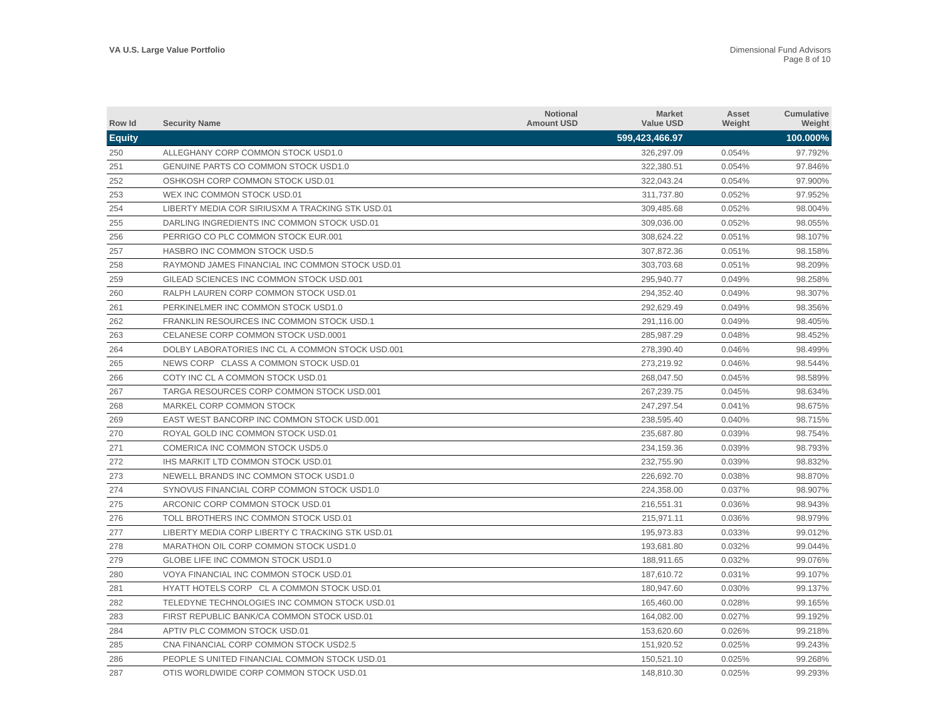| Row Id        | <b>Security Name</b>                             | <b>Notional</b><br><b>Amount USD</b> | <b>Market</b><br><b>Value USD</b> | Asset<br>Weight | <b>Cumulative</b><br>Weight |
|---------------|--------------------------------------------------|--------------------------------------|-----------------------------------|-----------------|-----------------------------|
| <b>Equity</b> |                                                  |                                      | 599,423,466.97                    |                 | 100.000%                    |
| 250           | ALLEGHANY CORP COMMON STOCK USD1.0               |                                      | 326,297.09                        | 0.054%          | 97.792%                     |
| 251           | GENUINE PARTS CO COMMON STOCK USD1.0             |                                      | 322,380.51                        | 0.054%          | 97.846%                     |
| 252           | OSHKOSH CORP COMMON STOCK USD.01                 |                                      | 322,043.24                        | 0.054%          | 97.900%                     |
| 253           | WEX INC COMMON STOCK USD.01                      |                                      | 311,737.80                        | 0.052%          | 97.952%                     |
| 254           | LIBERTY MEDIA COR SIRIUSXM A TRACKING STK USD.01 |                                      | 309,485.68                        | 0.052%          | 98.004%                     |
| 255           | DARLING INGREDIENTS INC COMMON STOCK USD.01      |                                      | 309,036.00                        | 0.052%          | 98.055%                     |
| 256           | PERRIGO CO PLC COMMON STOCK EUR.001              |                                      | 308,624.22                        | 0.051%          | 98.107%                     |
| 257           | HASBRO INC COMMON STOCK USD.5                    |                                      | 307.872.36                        | 0.051%          | 98.158%                     |
| 258           | RAYMOND JAMES FINANCIAL INC COMMON STOCK USD.01  |                                      | 303,703.68                        | 0.051%          | 98.209%                     |
| 259           | GILEAD SCIENCES INC COMMON STOCK USD.001         |                                      | 295.940.77                        | 0.049%          | 98.258%                     |
| 260           | RALPH LAUREN CORP COMMON STOCK USD.01            |                                      | 294,352.40                        | 0.049%          | 98.307%                     |
| 261           | PERKINELMER INC COMMON STOCK USD1.0              |                                      | 292,629.49                        | 0.049%          | 98.356%                     |
| 262           | FRANKLIN RESOURCES INC COMMON STOCK USD.1        |                                      | 291,116.00                        | 0.049%          | 98.405%                     |
| 263           | CELANESE CORP COMMON STOCK USD.0001              |                                      | 285,987.29                        | 0.048%          | 98.452%                     |
| 264           | DOLBY LABORATORIES INC CL A COMMON STOCK USD.001 |                                      | 278,390.40                        | 0.046%          | 98.499%                     |
| 265           | NEWS CORP CLASS A COMMON STOCK USD.01            |                                      | 273,219.92                        | 0.046%          | 98.544%                     |
| 266           | COTY INC CL A COMMON STOCK USD.01                |                                      | 268,047.50                        | 0.045%          | 98.589%                     |
| 267           | TARGA RESOURCES CORP COMMON STOCK USD.001        |                                      | 267,239.75                        | 0.045%          | 98.634%                     |
| 268           | MARKEL CORP COMMON STOCK                         |                                      | 247,297.54                        | 0.041%          | 98.675%                     |
| 269           | EAST WEST BANCORP INC COMMON STOCK USD.001       |                                      | 238,595.40                        | 0.040%          | 98.715%                     |
| 270           | ROYAL GOLD INC COMMON STOCK USD.01               |                                      | 235.687.80                        | 0.039%          | 98.754%                     |
| 271           | COMERICA INC COMMON STOCK USD5.0                 |                                      | 234.159.36                        | 0.039%          | 98.793%                     |
| 272           | <b>IHS MARKIT LTD COMMON STOCK USD.01</b>        |                                      | 232.755.90                        | 0.039%          | 98.832%                     |
| 273           | NEWELL BRANDS INC COMMON STOCK USD1.0            |                                      | 226,692.70                        | 0.038%          | 98.870%                     |
| 274           | SYNOVUS FINANCIAL CORP COMMON STOCK USD1.0       |                                      | 224,358.00                        | 0.037%          | 98.907%                     |
| 275           | ARCONIC CORP COMMON STOCK USD.01                 |                                      | 216,551.31                        | 0.036%          | 98.943%                     |
| 276           | TOLL BROTHERS INC COMMON STOCK USD.01            |                                      | 215,971.11                        | 0.036%          | 98.979%                     |
| 277           | LIBERTY MEDIA CORP LIBERTY C TRACKING STK USD.01 |                                      | 195,973.83                        | 0.033%          | 99.012%                     |
| 278           | MARATHON OIL CORP COMMON STOCK USD1.0            |                                      | 193,681.80                        | 0.032%          | 99.044%                     |
| 279           | GLOBE LIFE INC COMMON STOCK USD1.0               |                                      | 188,911.65                        | 0.032%          | 99.076%                     |
| 280           | VOYA FINANCIAL INC COMMON STOCK USD.01           |                                      | 187,610.72                        | 0.031%          | 99.107%                     |
| 281           | HYATT HOTELS CORP CL A COMMON STOCK USD.01       |                                      | 180,947.60                        | 0.030%          | 99.137%                     |
| 282           | TELEDYNE TECHNOLOGIES INC COMMON STOCK USD.01    |                                      | 165,460.00                        | 0.028%          | 99.165%                     |
| 283           | FIRST REPUBLIC BANK/CA COMMON STOCK USD.01       |                                      | 164,082.00                        | 0.027%          | 99.192%                     |
| 284           | APTIV PLC COMMON STOCK USD.01                    |                                      | 153,620.60                        | 0.026%          | 99.218%                     |
| 285           | CNA FINANCIAL CORP COMMON STOCK USD2.5           |                                      | 151,920.52                        | 0.025%          | 99.243%                     |
| 286           | PEOPLE SUNITED FINANCIAL COMMON STOCK USD.01     |                                      | 150.521.10                        | 0.025%          | 99.268%                     |
| 287           | OTIS WORLDWIDE CORP COMMON STOCK USD.01          |                                      | 148,810.30                        | 0.025%          | 99.293%                     |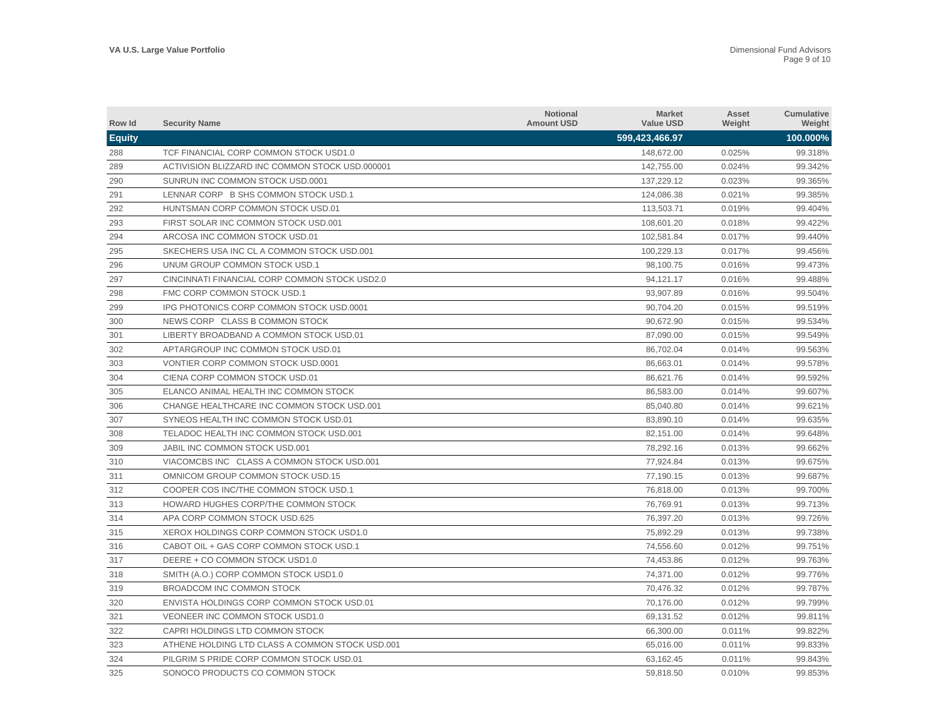| Row Id        | <b>Security Name</b>                            | <b>Notional</b><br><b>Amount USD</b> | <b>Market</b><br><b>Value USD</b> | Asset<br>Weight | <b>Cumulative</b><br>Weight |
|---------------|-------------------------------------------------|--------------------------------------|-----------------------------------|-----------------|-----------------------------|
| <b>Equity</b> |                                                 |                                      | 599,423,466.97                    |                 | 100.000%                    |
| 288           | TCF FINANCIAL CORP COMMON STOCK USD1.0          |                                      | 148,672.00                        | 0.025%          | 99.318%                     |
| 289           | ACTIVISION BLIZZARD INC COMMON STOCK USD.000001 |                                      | 142,755.00                        | 0.024%          | 99.342%                     |
| 290           | SUNRUN INC COMMON STOCK USD.0001                |                                      | 137,229.12                        | 0.023%          | 99.365%                     |
| 291           | LENNAR CORP B SHS COMMON STOCK USD.1            |                                      | 124,086.38                        | 0.021%          | 99.385%                     |
| 292           | HUNTSMAN CORP COMMON STOCK USD.01               |                                      | 113,503.71                        | 0.019%          | 99.404%                     |
| 293           | FIRST SOLAR INC COMMON STOCK USD.001            |                                      | 108,601.20                        | 0.018%          | 99.422%                     |
| 294           | ARCOSA INC COMMON STOCK USD.01                  |                                      | 102,581.84                        | 0.017%          | 99.440%                     |
| 295           | SKECHERS USA INC CL A COMMON STOCK USD.001      |                                      | 100,229.13                        | 0.017%          | 99.456%                     |
| 296           | UNUM GROUP COMMON STOCK USD.1                   |                                      | 98,100.75                         | 0.016%          | 99.473%                     |
| 297           | CINCINNATI FINANCIAL CORP COMMON STOCK USD2.0   |                                      | 94,121.17                         | 0.016%          | 99.488%                     |
| 298           | FMC CORP COMMON STOCK USD.1                     |                                      | 93,907.89                         | 0.016%          | 99.504%                     |
| 299           | IPG PHOTONICS CORP COMMON STOCK USD.0001        |                                      | 90,704.20                         | 0.015%          | 99.519%                     |
| 300           | NEWS CORP CLASS B COMMON STOCK                  |                                      | 90,672.90                         | 0.015%          | 99.534%                     |
| 301           | LIBERTY BROADBAND A COMMON STOCK USD.01         |                                      | 87,090.00                         | 0.015%          | 99.549%                     |
| 302           | APTARGROUP INC COMMON STOCK USD.01              |                                      | 86,702.04                         | 0.014%          | 99.563%                     |
| 303           | VONTIER CORP COMMON STOCK USD.0001              |                                      | 86,663.01                         | 0.014%          | 99.578%                     |
| 304           | CIENA CORP COMMON STOCK USD.01                  |                                      | 86,621.76                         | 0.014%          | 99.592%                     |
| 305           | ELANCO ANIMAL HEALTH INC COMMON STOCK           |                                      | 86,583.00                         | 0.014%          | 99.607%                     |
| 306           | CHANGE HEALTHCARE INC COMMON STOCK USD.001      |                                      | 85,040.80                         | 0.014%          | 99.621%                     |
| 307           | SYNEOS HEALTH INC COMMON STOCK USD.01           |                                      | 83,890.10                         | 0.014%          | 99.635%                     |
| 308           | TELADOC HEALTH INC COMMON STOCK USD.001         |                                      | 82,151.00                         | 0.014%          | 99.648%                     |
| 309           | JABIL INC COMMON STOCK USD.001                  |                                      | 78,292.16                         | 0.013%          | 99.662%                     |
| 310           | VIACOMCBS INC CLASS A COMMON STOCK USD.001      |                                      | 77,924.84                         | 0.013%          | 99.675%                     |
| 311           | OMNICOM GROUP COMMON STOCK USD.15               |                                      | 77,190.15                         | 0.013%          | 99.687%                     |
| 312           | COOPER COS INC/THE COMMON STOCK USD.1           |                                      | 76,818.00                         | 0.013%          | 99.700%                     |
| 313           | HOWARD HUGHES CORP/THE COMMON STOCK             |                                      | 76,769.91                         | 0.013%          | 99.713%                     |
| 314           | APA CORP COMMON STOCK USD.625                   |                                      | 76,397.20                         | 0.013%          | 99.726%                     |
| 315           | XEROX HOLDINGS CORP COMMON STOCK USD1.0         |                                      | 75,892.29                         | 0.013%          | 99.738%                     |
| 316           | CABOT OIL + GAS CORP COMMON STOCK USD.1         |                                      | 74,556.60                         | 0.012%          | 99.751%                     |
| 317           | DEERE + CO COMMON STOCK USD1.0                  |                                      | 74,453.86                         | 0.012%          | 99.763%                     |
| 318           | SMITH (A.O.) CORP COMMON STOCK USD1.0           |                                      | 74,371.00                         | 0.012%          | 99.776%                     |
| 319           | BROADCOM INC COMMON STOCK                       |                                      | 70,476.32                         | 0.012%          | 99.787%                     |
| 320           | ENVISTA HOLDINGS CORP COMMON STOCK USD.01       |                                      | 70,176.00                         | 0.012%          | 99.799%                     |
| 321           | VEONEER INC COMMON STOCK USD1.0                 |                                      | 69,131.52                         | 0.012%          | 99.811%                     |
| 322           | CAPRI HOLDINGS LTD COMMON STOCK                 |                                      | 66,300.00                         | 0.011%          | 99.822%                     |
| 323           | ATHENE HOLDING LTD CLASS A COMMON STOCK USD.001 |                                      | 65,016.00                         | 0.011%          | 99.833%                     |
| 324           | PILGRIM S PRIDE CORP COMMON STOCK USD.01        |                                      | 63.162.45                         | 0.011%          | 99.843%                     |
| 325           | SONOCO PRODUCTS CO COMMON STOCK                 |                                      | 59.818.50                         | 0.010%          | 99.853%                     |